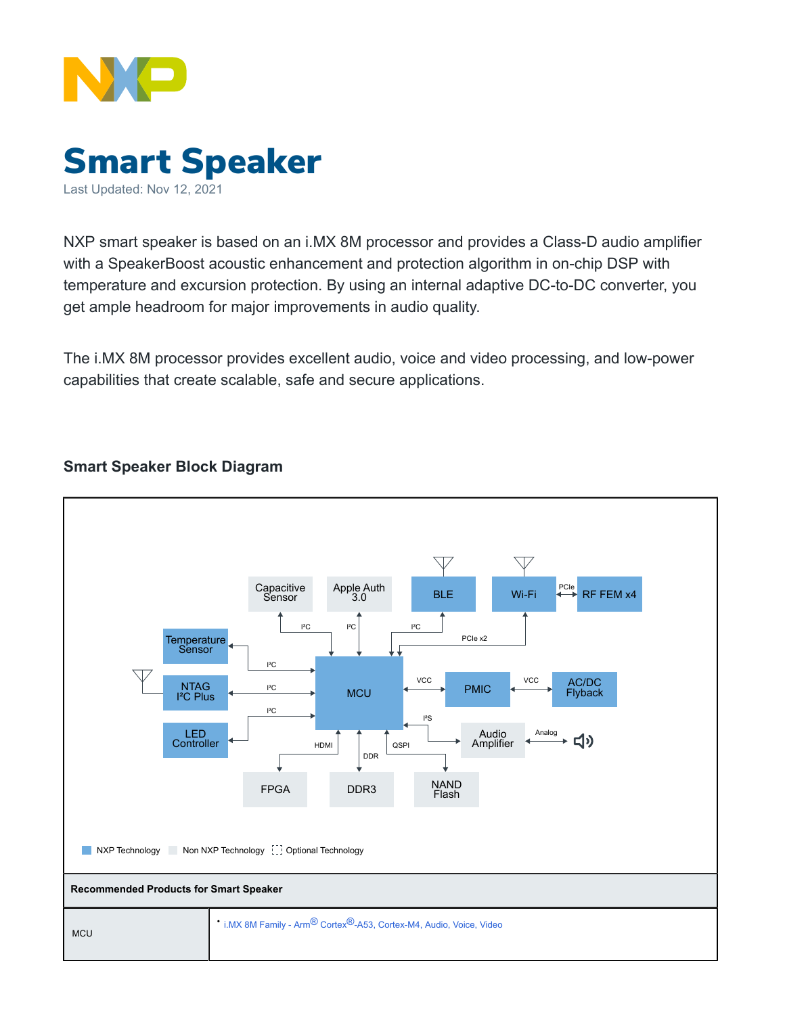



NXP smart speaker is based on an i.MX 8M processor and provides a Class-D audio amplifier with a SpeakerBoost acoustic enhancement and protection algorithm in on-chip DSP with temperature and excursion protection. By using an internal adaptive DC-to-DC converter, you get ample headroom for major improvements in audio quality.

The i.MX 8M processor provides excellent audio, voice and video processing, and low-power capabilities that create scalable, safe and secure applications.

## **Smart Speaker Block Diagram**